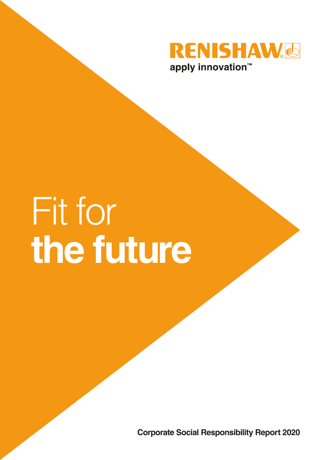

# Fit for **the future**

**Corporate Social Responsibility Report 2020**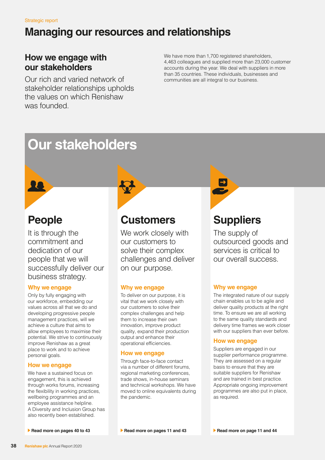# **Managing our resources and relationships**

### **How we engage with our stakeholders**

Our rich and varied network of stakeholder relationships upholds the values on which Renishaw was founded.

We have more than 1,700 registered shareholders, 4,463 colleagues and supplied more than 23,000 customer accounts during the year. We deal with suppliers in more than 35 countries. These individuals, businesses and communities are all integral to our business.

# **Our stakeholders**

# **People**

It is through the commitment and dedication of our people that we will successfully deliver our business strategy.

#### **Why we engage**

Only by fully engaging with our workforce, embedding our values across all that we do and developing progressive people management practices, will we achieve a culture that aims to allow employees to maximise their potential. We strive to continuously improve Renishaw as a great place to work and to achieve personal goals.

#### **How we engage**

We have a sustained focus on engagement, this is achieved through works forums, increasing the flexibility in working practices, wellbeing programmes and an employee assistance helpline. A Diversity and Inclusion Group has also recently been established.



# **Customers**

We work closely with our customers to solve their complex challenges and deliver on our purpose.

#### **Why we engage**

To deliver on our purpose, it is vital that we work closely with our customers to solve their complex challenges and help them to increase their own innovation, improve product quality, expand their production output and enhance their operational efficiencies.

#### **How we engage**

Through face-to-face contact via a number of different forums, regional marketing conferences, trade shows, in-house seminars and technical workshops. We have moved to online equivalents during the pandemic.



# **Suppliers**

The supply of outsourced goods and services is critical to our overall success.

#### **Why we engage**

The integrated nature of our supply chain enables us to be agile and deliver quality products at the right time. To ensure we are all working to the same quality standards and delivery time frames we work closer with our suppliers than ever before.

#### **How we engage**

Suppliers are engaged in our supplier performance programme. They are assessed on a regular basis to ensure that they are suitable suppliers for Renishaw and are trained in best practice. Appropriate ongoing improvement programmes are also put in place, as required.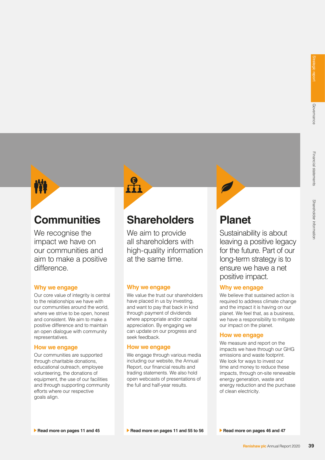

## **Communities**

We recognise the impact we have on our communities and aim to make a positive difference.

#### **Why we engage**

Our core value of integrity is central to the relationships we have with our communities around the world, where we strive to be open, honest and consistent. We aim to make a positive difference and to maintain an open dialogue with community representatives.

#### **How we engage**

Our communities are supported through charitable donations, educational outreach, employee volunteering, the donations of equipment, the use of our facilities and through supporting community efforts where our respective goals align.



## **Shareholders**

We aim to provide all shareholders with high-quality information at the same time.

#### **Why we engage**

We value the trust our shareholders have placed in us by investing, and want to pay that back in kind through payment of dividends where appropriate and/or capital appreciation. By engaging we can update on our progress and seek feedback.

#### **How we engage**

We engage through various media including our website, the Annual Report, our financial results and trading statements. We also hold open webcasts of presentations of the full and half-year results.

# **Planet**

Sustainability is about leaving a positive legacy for the future. Part of our long-term strategy is to ensure we have a net positive impact.

#### **Why we engage**

We believe that sustained action is required to address climate change and the impact it is having on our planet. We feel that, as a business, we have a responsibility to mitigate our impact on the planet.

#### **How we engage**

We measure and report on the impacts we have through our GHG emissions and waste footprint. We look for ways to invest our time and money to reduce these impacts, through on-site renewable energy generation, waste and energy reduction and the purchase of clean electricity.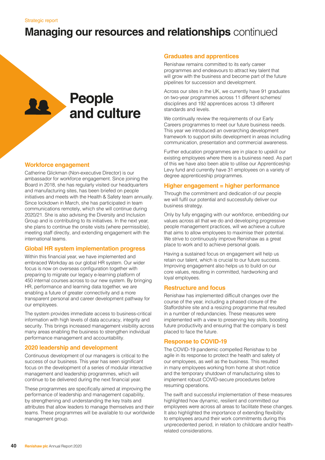### **People**  LO **and culture**

#### **Workforce engagement**

Catherine Glickman (Non-executive Director) is our ambassador for workforce engagement. Since joining the Board in 2018, she has regularly visited our headquarters and manufacturing sites, has been briefed on people initiatives and meets with the Health & Safety team annually. Since lockdown in March, she has participated in team communications remotely, which she will continue during 2020/21. She is also advising the Diversity and Inclusion Group and is contributing to its initiatives. In the next year, she plans to continue the onsite visits (where permissible), meeting staff directly, and extending engagement with the international teams.

#### **Global HR system implementation progress**

Within this financial year, we have implemented and embraced Workday as our global HR system. Our wider focus is now on overseas configuration together with preparing to migrate our legacy e-learning platform of 450 internal courses across to our new system. By bringing HR, performance and learning data together, we are enabling a future of greater connectivity and a more transparent personal and career development pathway for our employees.

The system provides immediate access to business-critical information with high levels of data accuracy, integrity and security. This brings increased management visibility across many areas enabling the business to strengthen individual performance management and accountability.

#### **2020 leadership and development**

Continuous development of our managers is critical to the success of our business. This year has seen significant focus on the development of a series of modular interactive management and leadership programmes, which will continue to be delivered during the next financial year.

These programmes are specifically aimed at improving the performance of leadership and management capability, by strengthening and understanding the key traits and attributes that allow leaders to manage themselves and their teams. These programmes will be available to our worldwide management group.

#### **Graduates and apprentices**

Renishaw remains committed to its early career programmes and endeavours to attract key talent that will grow with the business and become part of the future pipelines for succession and development.

Across our sites in the UK, we currently have 91 graduates on two-year programmes across 11 different schemes/ disciplines and 192 apprentices across 13 different standards and levels.

We continually review the requirements of our Early Careers programmes to meet our future business needs. This year we introduced an overarching development framework to support skills development in areas including communication, presentation and commercial awareness.

Further education programmes are in place to upskill our existing employees where there is a business need. As part of this we have also been able to utilise our Apprenticeship Levy fund and currently have 31 employees on a variety of degree apprenticeship programmes.

#### **Higher engagement = higher performance**

Through the commitment and dedication of our people we will fulfil our potential and successfully deliver our business strategy.

Only by fully engaging with our workforce, embedding our values across all that we do and developing progressive people management practices, will we achieve a culture that aims to allow employees to maximise their potential. We strive to continuously improve Renishaw as a great place to work and to achieve personal goals.

Having a sustained focus on engagement will help us retain our talent, which is crucial to our future success. Improving engagement also helps us to build on our core values, resulting in committed, hardworking and loyal employees.

#### **Restructure and focus**

Renishaw has implemented difficult changes over the course of the year, including a phased closure of the Staffordshire site and a resizing programme that resulted in a number of redundancies. These measures were implemented with a view to preserving key skills, boosting future productivity and ensuring that the company is best placed to face the future.

#### **Response to COVID-19**

The COVID-19 pandemic compelled Renishaw to be agile in its response to protect the health and safety of our employees, as well as the business. This resulted in many employees working from home at short notice and the temporary shutdown of manufacturing sites to implement robust COVID-secure procedures before resuming operations.

The swift and successful implementation of these measures highlighted how dynamic, resilient and committed our employees were across all areas to facilitate these changes. It also highlighted the importance of extending flexibility to employees around their work commitments during this unprecedented period, in relation to childcare and/or healthrelated considerations.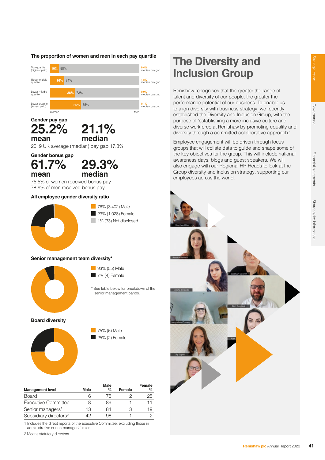#### **The proportion of women and men in each pay quartile**





2019 UK average (median) pay gap 17.3%

**Gender bonus gap 61.7%** 

**mean**



75.5% of women received bonus pay 78.6% of men received bonus pay

#### **All employee gender diversity ratio**



#### **Senior management team diversity\***



93% (55) Male  $\blacksquare$  7% (4) Female

\* See table below for breakdown of the senior management bands.

**Board diversity**



75% (6) Male  $25%$  (2) Female

|                                   |      | Male |        | Female |
|-----------------------------------|------|------|--------|--------|
| <b>Management level</b>           | Male | %    | Female | %      |
| Board                             |      | 75   |        | 25     |
| <b>Executive Committee</b>        | Χ    | 89   |        | 11     |
| Senior managers <sup>1</sup>      | 13   | 81   |        | 19     |
| Subsidiary directors <sup>2</sup> |      | 98   |        |        |

1 Includes the direct reports of the Executive Committee, excluding those in administrative or non-managerial roles.

2 Means statutory directors.

# **The Diversity and Inclusion Group**

Renishaw recognises that the greater the range of talent and diversity of our people, the greater the performance potential of our business. To enable us to align diversity with business strategy, we recently established the Diversity and Inclusion Group, with the purpose of 'establishing a more inclusive culture and diverse workforce at Renishaw by promoting equality and diversity through a committed collaborative approach.'

Employee engagement will be driven through focus groups that will collate data to guide and shape some of the key objectives for the group. This will include national awareness days, blogs and guest speakers. We will also engage with our Regional HR Heads to look at the Group diversity and inclusion strategy, supporting our employees across the world.

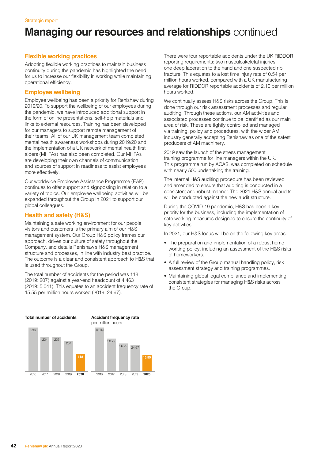#### **Flexible working practices**

Adopting flexible working practices to maintain business continuity during the pandemic has highlighted the need for us to increase our flexibility in working while maintaining operational efficiency.

#### **Employee wellbeing**

Employee wellbeing has been a priority for Renishaw during 2019/20. To support the wellbeing of our employees during the pandemic, we have introduced additional support in the form of online presentations, self-help materials and links to external resources. Training has been developed for our managers to support remote management of their teams. All of our UK management team completed mental health awareness workshops during 2019/20 and the implementation of a UK network of mental health first aiders (MHFAs) has also been completed. Our MHFAs are developing their own channels of communication and sources of support in readiness to assist employees more effectively.

Our worldwide Employee Assistance Programme (EAP) continues to offer support and signposting in relation to a variety of topics. Our employee wellbeing activities will be expanded throughout the Group in 2021 to support our global colleagues.

#### **Health and safety (H&S)**

Maintaining a safe working environment for our people, visitors and customers is the primary aim of our H&S management system. Our Group H&S policy frames our approach, drives our culture of safety throughout the Company, and details Renishaw's H&S management structure and processes, in line with industry best practice. The outcome is a clear and consistent approach to H&S that is used throughout the Group.

The total number of accidents for the period was 118 (2019: 207) against a year-end headcount of 4,463 (2019: 5,041). This equates to an accident frequency rate of 15.55 per million hours worked (2019: 24.67).

There were four reportable accidents under the UK RIDDOR reporting requirements: two musculoskeletal injuries, one deep laceration to the hand and one suspected rib fracture. This equates to a lost time injury rate of 0.54 per million hours worked, compared with a UK manufacturing average for RIDDOR reportable accidents of 2.10 per million hours worked.

We continually assess H&S risks across the Group. This is done through our risk assessment processes and regular auditing. Through these actions, our AM activities and associated processes continue to be identified as our main area of risk. These are tightly controlled and managed via training, policy and procedures, with the wider AM industry generally accepting Renishaw as one of the safest producers of AM machinery.

2019 saw the launch of the stress management training programme for line managers within the UK. This programme run by ACAS, was completed on schedule with nearly 500 undertaking the training.

The internal H&S auditing procedure has been reviewed and amended to ensure that auditing is conducted in a consistent and robust manner. The 2021 H&S annual audits will be conducted against the new audit structure.

During the COVID-19 pandemic, H&S has been a key priority for the business, including the implementation of safe working measures designed to ensure the continuity of key activities.

In 2021, our H&S focus will be on the following key areas:

- The preparation and implementation of a robust home working policy, including an assessment of the H&S risks of homeworkers.
- A full review of the Group manual handling policy, risk assessment strategy and training programmes.
- Maintaining global legal compliance and implementing consistent strategies for managing H&S risks across the Group.

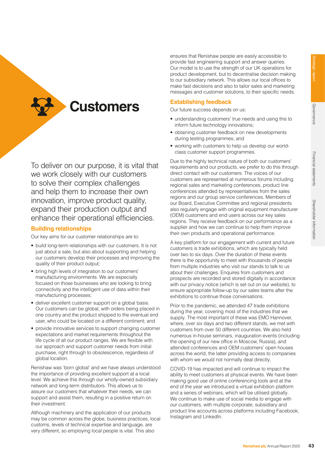**Customers**

To deliver on our purpose, it is vital that we work closely with our customers to solve their complex challenges and help them to increase their own innovation, improve product quality, expand their production output and enhance their operational efficiencies.

#### **Building relationships**

Our key aims for our customer relationships are to:

- build long-term relationships with our customers. It is not just about a sale, but also about supporting and helping our customers develop their processes and improving the quality of their product output;
- bring high levels of integration to our customers' manufacturing environments. We are especially focused on those businesses who are looking to bring connectivity and the intelligent use of data within their manufacturing processes;
- deliver excellent customer support on a global basis. Our customers can be global, with orders being placed in one country and the product shipped to the eventual end user, who could be located on a different continent; and
- provide innovative services to support changing customer expectations and market requirements throughout the life cycle of all our product ranges. We are flexible with our approach and support customer needs from initial purchase, right through to obsolescence, regardless of global location.

Renishaw was 'born global' and we have always understood the importance of providing excellent support at a local level. We achieve this through our wholly-owned subsidiary network and long-term distributors. This allows us to assure our customers that whatever their needs, we can support and assist them, resulting in a positive return on their investment.

Although machinery and the application of our products may be common across the globe, business practices, local customs, levels of technical expertise and language, are very different, so employing local people is vital. This also

ensures that Renishaw people are easily accessible to provide fast engineering support and answer queries. Our model is to use the strength of our UK operations for product development, but to decentralise decision making to our subsidiary network. This allows our local offices to make fast decisions and also to tailor sales and marketing messages and customer solutions, to their specific needs.

#### **Establishing feedback**

Our future success depends on us:

- understanding customers' true needs and using this to inform future technology innovations;
- obtaining customer feedback on new developments during testing programmes; and
- working with customers to help us develop our worldclass customer support programmes.

Due to the highly technical nature of both our customers' requirements and our products, we prefer to do this through direct contact with our customers. The voices of our customers are represented at numerous forums including regional sales and marketing conferences, product line conferences attended by representatives from the sales regions and our group service conferences. Members of our Board, Executive Committee and regional presidents also regularly engage with original equipment manufacturer (OEM) customers and end users across our key sales regions. They receive feedback on our performance as a supplier and how we can continue to help them improve their own products and operational performance.

A key platform for our engagement with current and future customers is trade exhibitions, which are typically held over two to six days. Over the duration of these events there is the opportunity to meet with thousands of people from multiple industries who visit our stands to talk to us about their challenges. Enquires from customers and prospects are recorded and stored digitally in accordance with our privacy notice (which is set out on our website), to ensure appropriate follow-up by our sales teams after the exhibitions to continue those conversations.

Prior to the pandemic, we attended 47 trade exhibitions during the year, covering most of the industries that we supply. The most important of these was EMO Hannover, where, over six days and two different stands, we met with customers from over 50 different countries. We also held numerous in-house seminars, inauguration events (including the opening of our new office in Moscow, Russia), and attended conferences and OEM customers' open houses across the world, the latter providing access to companies with whom we would not normally deal directly.

COVID-19 has impacted and will continue to impact the ability to meet customers at physical events. We have been making good use of online conferencing tools and at the end of the year we introduced a virtual exhibition platform and a series of webinars, which will be utilised globally. We continue to make use of social media to engage with our customers, with multiple corporate, subsidiary and product line accounts across platforms including Facebook, Instagram and LinkedIn.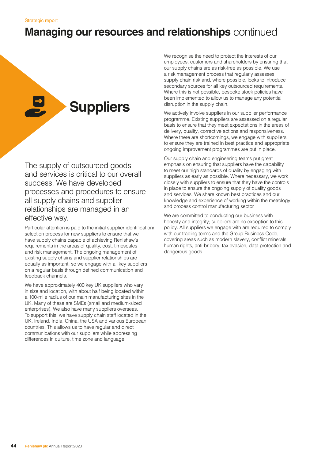# **Suppliers**

The supply of outsourced goods and services is critical to our overall success. We have developed processes and procedures to ensure all supply chains and supplier relationships are managed in an effective way.

Particular attention is paid to the initial supplier identification/ selection process for new suppliers to ensure that we have supply chains capable of achieving Renishaw's requirements in the areas of quality, cost, timescales and risk management. The ongoing management of existing supply chains and supplier relationships are equally as important, so we engage with all key suppliers on a regular basis through defined communication and feedback channels.

We have approximately 400 key UK suppliers who vary in size and location, with about half being located within a 100-mile radius of our main manufacturing sites in the UK. Many of these are SMEs (small and medium-sized enterprises). We also have many suppliers overseas. To support this, we have supply chain staff located in the UK, Ireland, India, China, the USA and various European countries. This allows us to have regular and direct communications with our suppliers while addressing differences in culture, time zone and language.

We recognise the need to protect the interests of our employees, customers and shareholders by ensuring that our supply chains are as risk-free as possible. We use a risk management process that regularly assesses supply chain risk and, where possible, looks to introduce secondary sources for all key outsourced requirements. Where this is not possible, bespoke stock policies have been implemented to allow us to manage any potential disruption in the supply chain.

We actively involve suppliers in our supplier performance programme. Existing suppliers are assessed on a regular basis to ensure that they meet expectations in the areas of delivery, quality, corrective actions and responsiveness. Where there are shortcomings, we engage with suppliers to ensure they are trained in best practice and appropriate ongoing improvement programmes are put in place.

Our supply chain and engineering teams put great emphasis on ensuring that suppliers have the capability to meet our high standards of quality by engaging with suppliers as early as possible. Where necessary, we work closely with suppliers to ensure that they have the controls in place to ensure the ongoing supply of quality goods and services. We share known best practices and our knowledge and experience of working within the metrology and process control manufacturing sector.

We are committed to conducting our business with honesty and integrity; suppliers are no exception to this policy. All suppliers we engage with are required to comply with our trading terms and the Group Business Code, covering areas such as modern slavery, conflict minerals, human rights, anti-bribery, tax evasion, data protection and dangerous goods.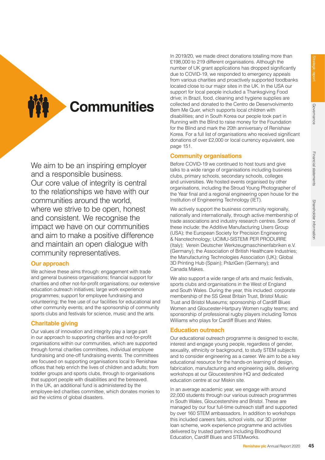**Communities**

We aim to be an inspiring employer and a responsible business. Our core value of integrity is central to the relationships we have with our communities around the world, where we strive to be open, honest and consistent. We recognise the impact we have on our communities and aim to make a positive difference and maintain an open dialogue with community representatives.

#### **Our approach**

We achieve these aims through: engagement with trade and general business organisations; financial support for charities and other not-for-profit organisations; our extensive education outreach initiatives; large work experience programmes; support for employee fundraising and volunteering; the free use of our facilities for educational and other community events; and the sponsorship of community sports clubs and festivals for science, music and the arts.

#### **Charitable giving**

Our values of innovation and integrity play a large part in our approach to supporting charities and not-for-profit organisations within our communities, which are supported through formal charities committees, individual employee fundraising and one-off fundraising events. The committees are focused on supporting organisations local to Renishaw offices that help enrich the lives of children and adults; from toddler groups and sports clubs, through to organisations that support people with disabilities and the bereaved. In the UK, an additional fund is administered by the employee-led charities committee, which donates monies to aid the victims of global disasters.

In 2019/20, we made direct donations totalling more than £198,000 to 219 different organisations. Although the number of UK grant applications has dropped significantly due to COVID-19, we responded to emergency appeals from various charities and proactively supported foodbanks located close to our major sites in the UK. In the USA our support for local people included a Thanksgiving Food drive; in Brazil, food, cleaning and hygiene supplies are collected and donated to the Centro de Desenvolvimento Bem Me Quer, which supports local children with disabilities; and in South Korea our people took part in Running with the Blind to raise money for the Foundation for the Blind and mark the 20th anniversary of Renishaw Korea. For a full list of organisations who received significant donations of over £2,000 or local currency equivalent, see page 151.

#### **Community organisations**

Before COVID-19 we continued to host tours and give talks to a wide range of organisations including business clubs, primary schools, secondary schools, colleges and universities. We hosted events organised by other organisations, including the Stroud Young Photographer of the Year final and a regional engineering open house for the Institution of Engineering Technology (IET).

We actively support the business community regionally, nationally and internationally, through active membership of trade associations and industry research centres. Some of these include: the Additive Manufacturing Users Group (USA); the European Society for Precision Engineering & Nanotechnology; UCIMU-SISTEMI PER PRODURRE (Italy); Verein Deutscher Werkzeugmaschinenfabriken e.V. (Germany); the Association of British Healthcare Industries; the Manufacturing Technologies Association (UK); Global 3D Printing Hub (Spain); PräziGen (Germany); and Canada Makes.

We also support a wide range of arts and music festivals, sports clubs and organisations in the West of England and South Wales. During the year, this included: corporate membership of the SS Great Britain Trust, Bristol Music Trust and Bristol Museums; sponsorship of Cardiff Blues Women and Gloucester-Hartpury Women rugby teams; and sponsorship of professional rugby players including Tomos Williams who plays for Cardiff Blues and Wales.

#### **Education outreach**

Our educational outreach programme is designed to excite, interest and engage young people, regardless of gender, sexuality, ethnicity or background, to study STEM subjects and to consider engineering as a career. We aim to be a key educational resource for the hands-on learning of design, fabrication, manufacturing and engineering skills, delivering workshops at our Gloucestershire HQ and dedicated education centre at our Miskin site.

In an average academic year, we engage with around 22,000 students through our various outreach programmes in South Wales, Gloucestershire and Bristol. These are managed by our four full-time outreach staff and supported by over 160 STEM ambassadors. In addition to workshops this included careers fairs, school visits, our 3D printer loan scheme, work experience programme and activities delivered by trusted partners including Bloodhound Education, Cardiff Blues and STEMworks.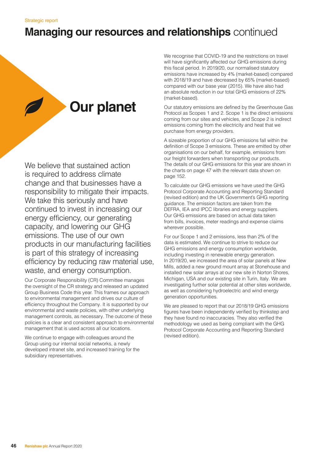# **Our planet**

We believe that sustained action is required to address climate change and that businesses have a responsibility to mitigate their impacts. We take this seriously and have continued to invest in increasing our energy efficiency, our generating capacity, and lowering our GHG emissions. The use of our own products in our manufacturing facilities is part of this strategy of increasing efficiency by reducing raw material use, waste, and energy consumption.

Our Corporate Responsibility (CR) Committee manages the oversight of the CR strategy and released an updated Group Business Code this year. This frames our approach to environmental management and drives our culture of efficiency throughout the Company. It is supported by our environmental and waste policies, with other underlying management controls, as necessary. The outcome of these policies is a clear and consistent approach to environmental management that is used across all our locations.

We continue to engage with colleagues around the Group using our internal social networks, a newly developed intranet site, and increased training for the subsidiary representatives.

We recognise that COVID-19 and the restrictions on travel will have significantly affected our GHG emissions during this fiscal period. In 2019/20, our normalised statutory emissions have increased by 4% (market-based) compared with 2018/19 and have decreased by 65% (market-based) compared with our base year (2015). We have also had an absolute reduction in our total GHG emissions of 22% (market-based).

Our statutory emissions are defined by the Greenhouse Gas Protocol as Scopes 1 and 2. Scope 1 is the direct emissions coming from our sites and vehicles, and Scope 2 is indirect emissions coming from the electricity and heat that we purchase from energy providers.

A sizeable proportion of our GHG emissions fall within the definition of Scope 3 emissions. These are emitted by other organisations on our behalf, for example, emissions from our freight forwarders when transporting our products. The details of our GHG emissions for this year are shown in the charts on page 47 with the relevant data shown on page 152.

To calculate our GHG emissions we have used the GHG Protocol Corporate Accounting and Reporting Standard (revised edition) and the UK Government's GHG reporting guidance. The emission factors are taken from the DEFRA, IEA and IPCC libraries and energy suppliers. Our GHG emissions are based on actual data taken from bills, invoices, meter readings and expense claims wherever possible.

For our Scope 1 and 2 emissions, less than 2% of the data is estimated. We continue to strive to reduce our GHG emissions and energy consumption worldwide, including investing in renewable energy generation. In 2019/20, we increased the area of solar panels at New Mills, added a new ground mount array at Stonehouse and installed new solar arrays at our new site in Norton Shores, Michigan, USA and our existing site in Turin, Italy. We are investigating further solar potential at other sites worldwide, as well as considering hydroelectric and wind energy generation opportunities.

We are pleased to report that our 2018/19 GHG emissions figures have been independently verified by thinkstep and they have found no inaccuracies. They also verified the methodology we used as being compliant with the GHG Protocol Corporate Accounting and Reporting Standard (revised edition).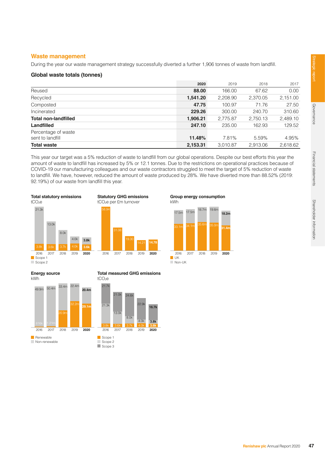#### **Waste management**

During the year our waste management strategy successfully diverted a further 1,906 tonnes of waste from landfill.

#### **Global waste totals (tonnes)**

|                                         | 2020     | 2019     | 2018     | 2017     |
|-----------------------------------------|----------|----------|----------|----------|
| Reused                                  | 88.00    | 166.00   | 67.62    | 0.00     |
| Recycled                                | 1,541.20 | 2,208.90 | 2,370.05 | 2,151.00 |
| Composted                               | 47.75    | 100.97   | 71.76    | 27.50    |
| Incinerated                             | 229.26   | 300.00   | 240.70   | 310.60   |
| <b>Total non-landfilled</b>             | 1,906.21 | 2,775.87 | 2,750.13 | 2,489.10 |
| <b>Landfilled</b>                       | 247.10   | 235.00   | 162.93   | 129.52   |
| Percentage of waste<br>sent to landfill | 11.48%   | 7.81%    | 5.59%    | 4.95%    |
| <b>Total waste</b>                      | 2,153.31 | 3,010.87 | 2,913.06 | 2,618.62 |

This year our target was a 5% reduction of waste to landfill from our global operations. Despite our best efforts this year the amount of waste to landfill has increased by 5% or 12.1 tonnes. Due to the restrictions on operational practices because of COVID-19 our manufacturing colleagues and our waste contractors struggled to meet the target of 5% reduction of waste to landfill. We have, however, reduced the amount of waste produced by 28%. We have diverted more than 88.52% (2019: 92.19%) of our waste from landfill this year.



kWh **UK** Non-UK 17.5m 17.5m 18.7m 19.6m 2016 2017 2018 2019 **2020**

**Group energy consumption**

**18.2m**

**31.4m**

**Energy source**



**Total measured GHG emissions**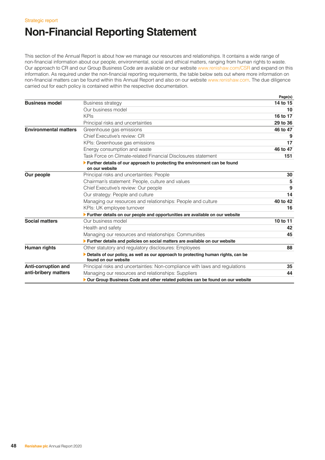# **Non-Financial Reporting Statement**

This section of the Annual Report is about how we manage our resources and relationships. It contains a wide range of non-financial information about our people, environmental, social and ethical matters, ranging from human rights to waste. Our approach to CR and our Group Business Code are available on our website www.renishaw.com/CSR and expand on this information. As required under the non-financial reporting requirements, the table below sets out where more information on non-financial matters can be found within this Annual Report and also on our website www.renishaw.com. The due diligence carried out for each policy is contained within the respective documentation.

|                              |                                                                                                           | Page(s)  |
|------------------------------|-----------------------------------------------------------------------------------------------------------|----------|
| <b>Business model</b>        | <b>Business strategy</b>                                                                                  | 14 to 15 |
|                              | Our business model                                                                                        | 10       |
|                              | <b>KPIs</b>                                                                                               | 16 to 17 |
|                              | Principal risks and uncertainties                                                                         | 29 to 36 |
| <b>Environmental matters</b> | Greenhouse gas emissions                                                                                  | 46 to 47 |
|                              | Chief Executive's review: CR                                                                              | 9        |
|                              | KPIs: Greenhouse gas emissions                                                                            | 17       |
|                              | Energy consumption and waste                                                                              | 46 to 47 |
|                              | Task Force on Climate-related Financial Disclosures statement                                             | 151      |
|                              | Further details of our approach to protecting the environment can be found<br>on our website              |          |
| Our people                   | Principal risks and uncertainties: People                                                                 | 30       |
|                              | Chairman's statement: People, culture and values                                                          | 5        |
|                              | Chief Executive's review: Our people                                                                      | 9        |
|                              | Our strategy: People and culture                                                                          | 14       |
|                              | Managing our resources and relationships: People and culture                                              | 40 to 42 |
|                              | KPIs: UK employee turnover                                                                                | 16       |
|                              | Further details on our people and opportunities are available on our website                              |          |
| <b>Social matters</b>        | Our business model                                                                                        | 10 to 11 |
|                              | Health and safety                                                                                         | 42       |
|                              | Managing our resources and relationships: Communities                                                     | 45       |
|                              | Further details and policies on social matters are available on our website                               |          |
| Human rights                 | Other statutory and regulatory disclosures: Employees                                                     | 88       |
|                              | Details of our policy, as well as our approach to protecting human rights, can be<br>found on our website |          |
| Anti-corruption and          | Principal risks and uncertainties: Non-compliance with laws and regulations                               | 35       |
| anti-bribery matters         | Managing our resources and relationships: Suppliers                                                       | 44       |
|                              | Our Group Business Code and other related policies can be found on our website                            |          |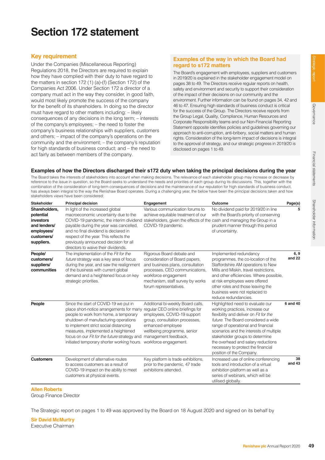# **Section 172 statement**

#### **Key requirement**

Under the Companies (Miscellaneous Reporting) Regulations 2018, the Directors are required to explain how they have complied with their duty to have regard to the matters in section 172 (1) (a)-(f) (Section 172) of the Companies Act 2006. Under Section 172 a director of a company must act in the way they consider, in good faith, would most likely promote the success of the company for the benefit of its shareholders. In doing so the director must have regard to other matters including: – likely consequences of any decisions in the long term; – interests of the company's employees; – the need to foster the company's business relationships with suppliers, customers and others; – impact of the company's operations on the community and the environment; – the company's reputation for high standards of business conduct; and – the need to act fairly as between members of the company.

#### **Examples of the way in which the Board had regard to s172 matters**

The Board's engagement with employees, suppliers and customers in 2019/20 is explained in the stakeholder engagement model on pages 38 to 49. The Directors receive regular reports on health, safety and environment and security to support their consideration of the impact of their decisions on our community and the environment. Further information can be found on pages 34, 42 and 46 to 47. Ensuring high standards of business conduct is critical for the success of the Group. The Directors receive reports from the Group Legal, Quality, Compliance, Human Resources and Corporate Responsibility teams and our Non-Financial Reporting Statement opposite identifies policies and guidelines governing our approach to anti-corruption, anti-bribery, social matters and human rights. Consideration of the long-term impact of decisions is integral to the approval of strategy, and our strategic progress in 2019/20 is disclosed on pages 1 to 49.

#### **Examples of how the Directors discharged their s172 duty when taking the principal decisions during the year**

The Board takes the interests of stakeholders into account when making decisions. The relevance of each stakeholder group may increase or decrease by reference to the issue in question, so the Board seeks to understand the needs and priorities of each group during its discussions. This, together with the combination of the consideration of long-term consequences of decisions and the maintenance of our reputation for high standards of business conduct, has always been integral to the way the Renishaw Board operates. During a challenging year, the below have been the principal decisions taken and how stakeholders views have been considered:

| <b>Stakeholder</b>                                                                                | <b>Principal decision</b>                                                                                                                                                                                                                                                                                                                                                                               | Engagement                                                                                                                                                                                                              | Outcome                                                                                                                                                                                                                                                                                                                                                                          | Page(s)        |
|---------------------------------------------------------------------------------------------------|---------------------------------------------------------------------------------------------------------------------------------------------------------------------------------------------------------------------------------------------------------------------------------------------------------------------------------------------------------------------------------------------------------|-------------------------------------------------------------------------------------------------------------------------------------------------------------------------------------------------------------------------|----------------------------------------------------------------------------------------------------------------------------------------------------------------------------------------------------------------------------------------------------------------------------------------------------------------------------------------------------------------------------------|----------------|
| Shareholders,<br>potential<br>investors<br>and lenders/<br>employees/<br>customers/<br>suppliers. | In light of the increased global<br>macroeconomic uncertainty due to the<br>COVID-19 pandemic, the interim dividend stakeholders, given the effects of the cash and managing the Group in a<br>payable during the year was cancelled,<br>and no final dividend is declared in<br>respect of the year. This reflects the<br>previously announced decision for all<br>directors to waive their dividends. | Various communication forums to<br>achieve equitable treatment of our<br>COVID-19 pandemic.                                                                                                                             | No dividend paid for 2019/20 in line<br>with the Board's priority of conserving<br>prudent manner through this period<br>of uncertainty.                                                                                                                                                                                                                                         | 5              |
| People/<br>customers/<br>suppliers/<br>communities                                                | The implementation of the Fit for the<br>future strategy was a key area of focus<br>during the year, and saw the realignment<br>of the business with current global<br>demand and a heightened focus on key<br>strategic priorities.                                                                                                                                                                    | Rigorous Board debate and<br>consideration of Board papers,<br>and business plans, consultation<br>processes, CEO communications,<br>workforce engagement<br>mechanism, staff survey by works<br>forum representatives. | Implemented redundancy<br>programmes, the co-location of the<br>Staffordshire AM operations to New<br>Mills and Miskin, travel restrictions,<br>and other efficiencies. Where possible,<br>at risk employees were offered<br>other roles and those leaving the<br>business were not replaced to<br>reduce redundancies.                                                          | 6, 9<br>and 22 |
| People                                                                                            | Since the start of COVID-19 we put in<br>place short-notice arrangements for many regular CEO online briefings for<br>people to work from home, a temporary<br>shutdown of manufacturing operations<br>to implement strict social distancing<br>measures, implemented a heightened<br>focus on our Fit for the future strategy and<br>initiated temporary shorter working hours.                        | Additional bi-weekly Board calls,<br>employees, COVID-19 support<br>group, consultation processes,<br>enhanced employee<br>wellbeing programme, senior<br>management feedback,<br>workforce engagement.                 | Highlighted need to evaluate our<br>working practices, increase our<br>flexibility and deliver on Fit for the<br>future. The Board considered a wide<br>range of operational and financial<br>scenarios and the interests of multiple<br>stakeholder groups to determine<br>the overhead and salary reductions<br>necessary to protect the financial<br>position of the Company. | 6 and 40       |
| <b>Customers</b>                                                                                  | Development of alternative routes<br>to access customers as a result of<br>COVID-19 impact on the ability to meet<br>customers at physical events.                                                                                                                                                                                                                                                      | Key platform is trade exhibitions,<br>prior to the pandemic, 47 trade<br>exhibitions attended.                                                                                                                          | Increased use of online conferencing<br>tools and introduction of a virtual<br>exhibition platform as well as a<br>series of webinars, which will be<br>utilised globally.                                                                                                                                                                                                       | 38<br>and 43   |

#### **Allen Roberts**

Group Finance Director

The Strategic report on pages 1 to 49 was approved by the Board on 18 August 2020 and signed on its behalf by

**Sir David McMurtry**  Executive Chairman

Governance